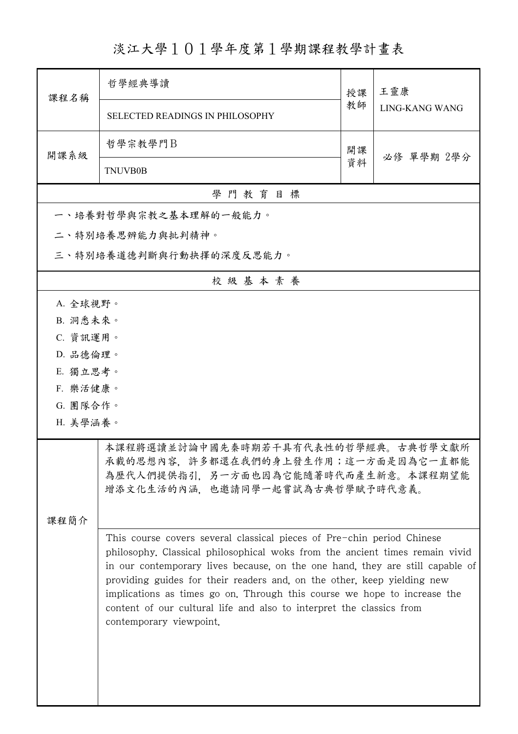## 淡江大學101學年度第1學期課程教學計畫表

| 課程名稱     | 哲學經典導讀                                                                                                                                                                                                                                                                                                                                                                                                                                                                                            | 授課 | 王靈康            |  |  |  |
|----------|---------------------------------------------------------------------------------------------------------------------------------------------------------------------------------------------------------------------------------------------------------------------------------------------------------------------------------------------------------------------------------------------------------------------------------------------------------------------------------------------------|----|----------------|--|--|--|
|          | <b>SELECTED READINGS IN PHILOSOPHY</b>                                                                                                                                                                                                                                                                                                                                                                                                                                                            | 教師 | LING-KANG WANG |  |  |  |
| 開課系級     | 哲學宗教學門B                                                                                                                                                                                                                                                                                                                                                                                                                                                                                           | 開課 | 必修 單學期 2學分     |  |  |  |
|          | <b>TNUVB0B</b>                                                                                                                                                                                                                                                                                                                                                                                                                                                                                    | 資料 |                |  |  |  |
|          | 學門教育目標                                                                                                                                                                                                                                                                                                                                                                                                                                                                                            |    |                |  |  |  |
|          | 一、培養對哲學與宗教之基本理解的一般能力。                                                                                                                                                                                                                                                                                                                                                                                                                                                                             |    |                |  |  |  |
|          | 二、特別培養思辨能力與批判精神。                                                                                                                                                                                                                                                                                                                                                                                                                                                                                  |    |                |  |  |  |
|          | 三、特別培養道德判斷與行動抉擇的深度反思能力。                                                                                                                                                                                                                                                                                                                                                                                                                                                                           |    |                |  |  |  |
|          | 校級基本素養                                                                                                                                                                                                                                                                                                                                                                                                                                                                                            |    |                |  |  |  |
| A. 全球視野。 |                                                                                                                                                                                                                                                                                                                                                                                                                                                                                                   |    |                |  |  |  |
| B. 洞悉未來。 |                                                                                                                                                                                                                                                                                                                                                                                                                                                                                                   |    |                |  |  |  |
| C. 資訊運用。 |                                                                                                                                                                                                                                                                                                                                                                                                                                                                                                   |    |                |  |  |  |
|          | D. 品德倫理。                                                                                                                                                                                                                                                                                                                                                                                                                                                                                          |    |                |  |  |  |
| E. 獨立思考。 |                                                                                                                                                                                                                                                                                                                                                                                                                                                                                                   |    |                |  |  |  |
| F. 樂活健康。 |                                                                                                                                                                                                                                                                                                                                                                                                                                                                                                   |    |                |  |  |  |
| G. 團隊合作。 |                                                                                                                                                                                                                                                                                                                                                                                                                                                                                                   |    |                |  |  |  |
| H. 美學涵養。 |                                                                                                                                                                                                                                                                                                                                                                                                                                                                                                   |    |                |  |  |  |
| 课程简介     | 本課程將選讀並討論中國先秦時期若干具有代表性的哲學經典。古典哲學文獻所<br>承載的思想內容,許多都還在我們的身上發生作用;這一方面是因為它一直都能<br>為歷代人們提供指引,另一方面也因為它能隨著時代而產生新意。本課程期望能<br>增添文化生活的內涵,也邀請同學一起嘗試為古典哲學賦予時代意義。                                                                                                                                                                                                                                                                                                                                              |    |                |  |  |  |
|          | This course covers several classical pieces of Pre-chin period Chinese<br>philosophy. Classical philosophical woks from the ancient times remain vivid<br>in our contemporary lives because, on the one hand, they are still capable of<br>providing guides for their readers and, on the other, keep yielding new<br>implications as times go on. Through this course we hope to increase the<br>content of our cultural life and also to interpret the classics from<br>contemporary viewpoint. |    |                |  |  |  |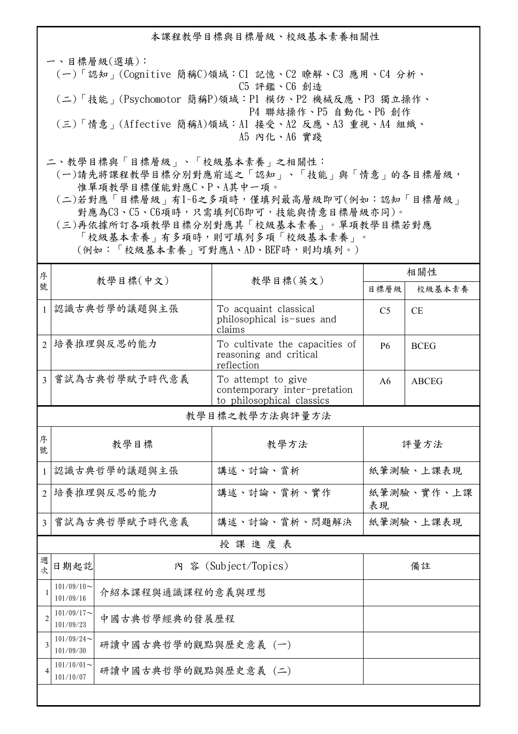本課程教學目標與目標層級、校級基本素養相關性 一、目標層級(選填): (一)「認知」(Cognitive 簡稱C)領域:C1 記憶、C2 瞭解、C3 應用、C4 分析、 C5 評鑑、C6 創造 (二)「技能」(Psychomotor 簡稱P)領域:P1 模仿、P2 機械反應、P3 獨立操作、 P4 聯結操作、P5 自動化、P6 創作 (三)「情意」(Affective 簡稱A)領域:A1 接受、A2 反應、A3 重視、A4 組織、 A5 內化、A6 實踐

二、教學目標與「目標層級」、「校級基本素養」之相關性:

 (一)請先將課程教學目標分別對應前述之「認知」、「技能」與「情意」的各目標層級, 惟單項教學目標僅能對應C、P、A其中一項。

 (二)若對應「目標層級」有1~6之多項時,僅填列最高層級即可(例如:認知「目標層級」 對應為C3、C5、C6項時,只需填列C6即可,技能與情意目標層級亦同)。

 (三)再依據所訂各項教學目標分別對應其「校級基本素養」。單項教學目標若對應 「校級基本素養」有多項時,則可填列多項「校級基本素養」。 (例如:「校級基本素養」可對應A、AD、BEF時,則均填列。)

| 序              |                                                    |          |                                                                                 | 相關性              |              |  |  |
|----------------|----------------------------------------------------|----------|---------------------------------------------------------------------------------|------------------|--------------|--|--|
| 號              |                                                    | 教學目標(中文) | 教學目標(英文)                                                                        | 目標層級             | 校級基本素養       |  |  |
| $\mathbf{1}$   | 認識古典哲學的議題與主張                                       |          | To acquaint classical<br>philosophical is-sues and<br>claims                    | C <sub>5</sub>   | <b>CE</b>    |  |  |
| $\overline{2}$ | 培養推理與反思的能力                                         |          | To cultivate the capacities of<br>reasoning and critical<br>reflection          | <b>P6</b>        | <b>BCEG</b>  |  |  |
| $\overline{3}$ | 嘗試為古典哲學賦予時代意義                                      |          | To attempt to give<br>contemporary inter-pretation<br>to philosophical classics | A6               | <b>ABCEG</b> |  |  |
|                | 教學目標之教學方法與評量方法                                     |          |                                                                                 |                  |              |  |  |
| 序<br>號         | 教學目標                                               |          | 教學方法                                                                            | 評量方法             |              |  |  |
| $\mathbf{1}$   | 認識古典哲學的議題與主張                                       |          | 講述、討論、賞析                                                                        | 紙筆測驗、上課表現        |              |  |  |
| $\overline{2}$ | 培養推理與反思的能力                                         |          | 講述、討論、賞析、實作                                                                     | 紙筆測驗、實作、上課<br>表現 |              |  |  |
| $\overline{3}$ | 嘗試為古典哲學賦予時代意義                                      |          | 講述、討論、賞析、問題解決                                                                   | 紙筆測驗、上課表現        |              |  |  |
|                | 授課進度表                                              |          |                                                                                 |                  |              |  |  |
| 週<br>式         | 日期起訖<br>內 容 (Subject/Topics)                       |          | 備註                                                                              |                  |              |  |  |
| $\mathbf{1}$   | $101/09/10$ ~<br>介紹本課程與通識課程的意義與理想<br>101/09/16     |          |                                                                                 |                  |              |  |  |
| $\overline{c}$ | $101/09/17$ ~<br>中國古典哲學經典的發展歷程<br>101/09/23        |          |                                                                                 |                  |              |  |  |
| $\overline{3}$ | $101/09/24$ ~<br>研讀中國古典哲學的觀點與歷史意義 (一)<br>101/09/30 |          |                                                                                 |                  |              |  |  |
| $\overline{4}$ | $101/10/01$ ~<br>研讀中國古典哲學的觀點與歷史意義 (二)<br>101/10/07 |          |                                                                                 |                  |              |  |  |
|                |                                                    |          |                                                                                 |                  |              |  |  |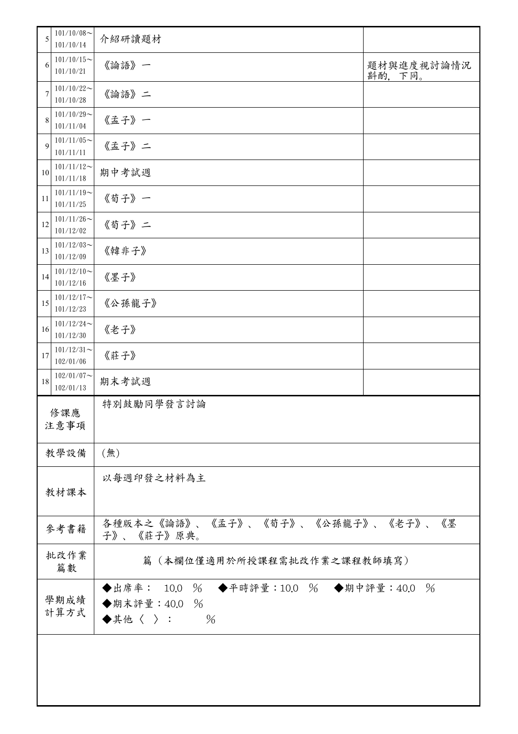| 5                                                        | $101/10/08$ ~<br>101/10/14                                                                 | 介紹研讀題材 |                      |
|----------------------------------------------------------|--------------------------------------------------------------------------------------------|--------|----------------------|
| 6                                                        | $101/10/15$ ~<br>101/10/21                                                                 | 《論語》一  | 題材與進度視討論情況<br>斟酌,下同。 |
| 7                                                        | $101/10/22$ ~<br>101/10/28                                                                 | 《論語》二  |                      |
| 8                                                        | $101/10/29$ ~<br>101/11/04                                                                 | 《孟子》一  |                      |
| $\mathbf Q$                                              | $101/11/05$ ~<br>101/11/11                                                                 | 《孟子》二  |                      |
| 10                                                       | $101/11/12$ ~<br>101/11/18                                                                 | 期中考試週  |                      |
| 11                                                       | $101/11/19$ ~<br>101/11/25                                                                 | 《荀子》一  |                      |
| 12                                                       | $101/11/26$ ~<br>101/12/02                                                                 | 《荀子》二  |                      |
| 13                                                       | $101/12/03$ ~<br>101/12/09                                                                 | 《韓非子》  |                      |
| 14                                                       | $101/12/10$ ~<br>101/12/16                                                                 | 《墨子》   |                      |
| 15                                                       | $101/12/17$ ~<br>101/12/23                                                                 | 《公孫龍子》 |                      |
| 16                                                       | $101/12/24$ ~<br>101/12/30                                                                 | 《老子》   |                      |
| 17                                                       | $101/12/31$ ~<br>102/01/06                                                                 | 《莊子》   |                      |
| 18                                                       | $102/01/07$ ~<br>102/01/13                                                                 | 期末考試週  |                      |
| 特別鼓勵同學發言討論<br>修課應<br>注意事項                                |                                                                                            |        |                      |
|                                                          | (無)<br>教學設備                                                                                |        |                      |
| 以每週印發之材料為主<br>教材課本                                       |                                                                                            |        |                      |
| 各種版本之《論語》、《孟子》、《荀子》、《公孫龍子》、《老子》、《墨<br>參考書籍<br>子》、《莊子》原典。 |                                                                                            |        |                      |
|                                                          | 批改作業<br>篇(本欄位僅適用於所授課程需批改作業之課程教師填寫)<br>篇數                                                   |        |                      |
|                                                          | ◆出席率: 10.0 % ◆平時評量:10.0 % ◆期中評量:40.0 %<br>學期成績<br>◆期末評量: 40.0 %<br>計算方式<br>$\%$<br>◆其他〈 〉: |        |                      |
|                                                          |                                                                                            |        |                      |